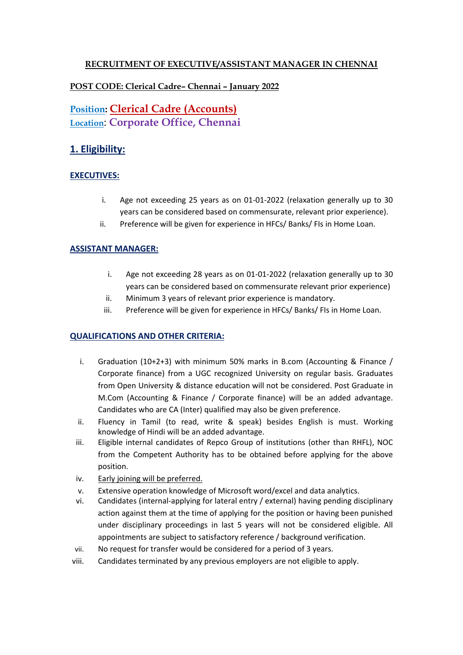## **RECRUITMENT OF EXECUTIVE/ASSISTANT MANAGER IN CHENNAI**

## **POST CODE: Clerical Cadre– Chennai – January 2022**

# **Position: Clerical Cadre (Accounts) Location**: **Corporate Office, Chennai**

## **1. Eligibility:**

## **EXECUTIVES:**

- i. Age not exceeding 25 years as on 01-01-2022 (relaxation generally up to 30 years can be considered based on commensurate, relevant prior experience).
- ii. Preference will be given for experience in HFCs/ Banks/ FIs in Home Loan.

#### **ASSISTANT MANAGER:**

- i. Age not exceeding 28 years as on 01-01-2022 (relaxation generally up to 30 years can be considered based on commensurate relevant prior experience)
- ii. Minimum 3 years of relevant prior experience is mandatory.
- iii. Preference will be given for experience in HFCs/ Banks/ FIs in Home Loan.

#### **QUALIFICATIONS AND OTHER CRITERIA:**

- i. Graduation (10+2+3) with minimum 50% marks in B.com (Accounting & Finance / Corporate finance) from a UGC recognized University on regular basis. Graduates from Open University & distance education will not be considered. Post Graduate in M.Com (Accounting & Finance / Corporate finance) will be an added advantage. Candidates who are CA (Inter) qualified may also be given preference.
- ii. Fluency in Tamil (to read, write & speak) besides English is must. Working knowledge of Hindi will be an added advantage.
- iii. Eligible internal candidates of Repco Group of institutions (other than RHFL), NOC from the Competent Authority has to be obtained before applying for the above position.
- iv. Early joining will be preferred.
- v. Extensive operation knowledge of Microsoft word/excel and data analytics.
- vi. Candidates (internal-applying for lateral entry / external) having pending disciplinary action against them at the time of applying for the position or having been punished under disciplinary proceedings in last 5 years will not be considered eligible. All appointments are subject to satisfactory reference / background verification.
- vii. No request for transfer would be considered for a period of 3 years.
- viii. Candidates terminated by any previous employers are not eligible to apply.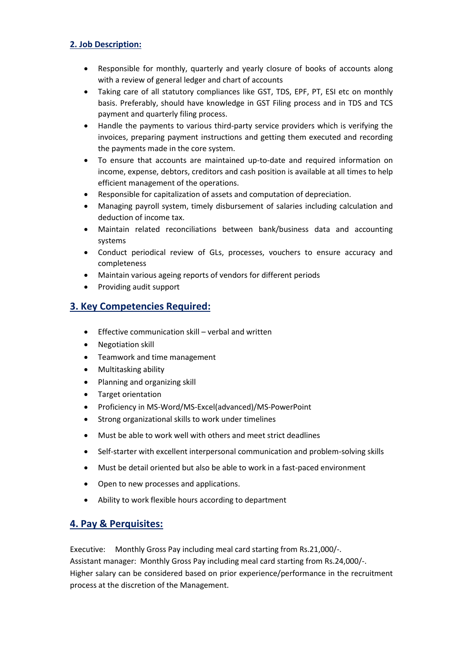### **2. Job Description:**

- Responsible for monthly, quarterly and yearly closure of books of accounts along with a review of general ledger and chart of accounts
- Taking care of all statutory compliances like GST, TDS, EPF, PT, ESI etc on monthly basis. Preferably, should have knowledge in GST Filing process and in TDS and TCS payment and quarterly filing process.
- Handle the payments to various third-party service providers which is verifying the invoices, preparing payment instructions and getting them executed and recording the payments made in the core system.
- To ensure that accounts are maintained up-to-date and required information on income, expense, debtors, creditors and cash position is available at all times to help efficient management of the operations.
- Responsible for capitalization of assets and computation of depreciation.
- Managing payroll system, timely disbursement of salaries including calculation and deduction of income tax.
- Maintain related reconciliations between bank/business data and accounting systems
- Conduct periodical review of GLs, processes, vouchers to ensure accuracy and completeness
- Maintain various ageing reports of vendors for different periods
- Providing audit support

## **3. Key Competencies Required:**

- Effective communication skill verbal and written
- Negotiation skill
- Teamwork and time management
- Multitasking ability
- Planning and organizing skill
- Target orientation
- Proficiency in MS-Word/MS-Excel(advanced)/MS-PowerPoint
- Strong organizational skills to work under timelines
- Must be able to work well with others and meet strict deadlines
- Self-starter with excellent interpersonal communication and problem-solving skills
- Must be detail oriented but also be able to work in a fast-paced environment
- Open to new processes and applications.
- Ability to work flexible hours according to department

## **4. Pay & Perquisites:**

Executive: Monthly Gross Pay including meal card starting from Rs.21,000/-. Assistant manager: Monthly Gross Pay including meal card starting from Rs.24,000/-. Higher salary can be considered based on prior experience/performance in the recruitment process at the discretion of the Management.